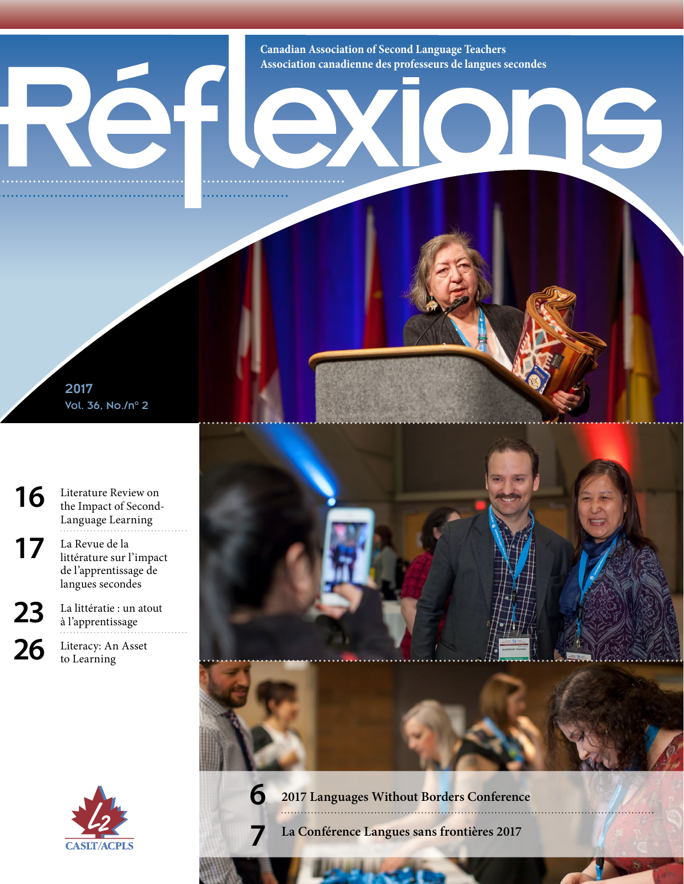**Canadian Association of Second Language Teachers Association canadienne des professeurs de langues secondes**

IC

2017 Vol. 36, No./n° 2

[16](#page--1-1) [Literature Review on](#page--1-1) [the Impact of Second-](#page--1-1)[Language Learning](#page--1-1)

17 La Revue de la littérature sur l'impact de l'apprentissage de langues secondes

23 La littératie : un atout à l'apprentissage

 $26$  Literacy: An Asset [to Learning](#page--1-2)





**[6](#page--1-0) [2017 Languages Without Borders Conference](#page--1-0)**

**7 La Conférence Langues sans frontières 2017**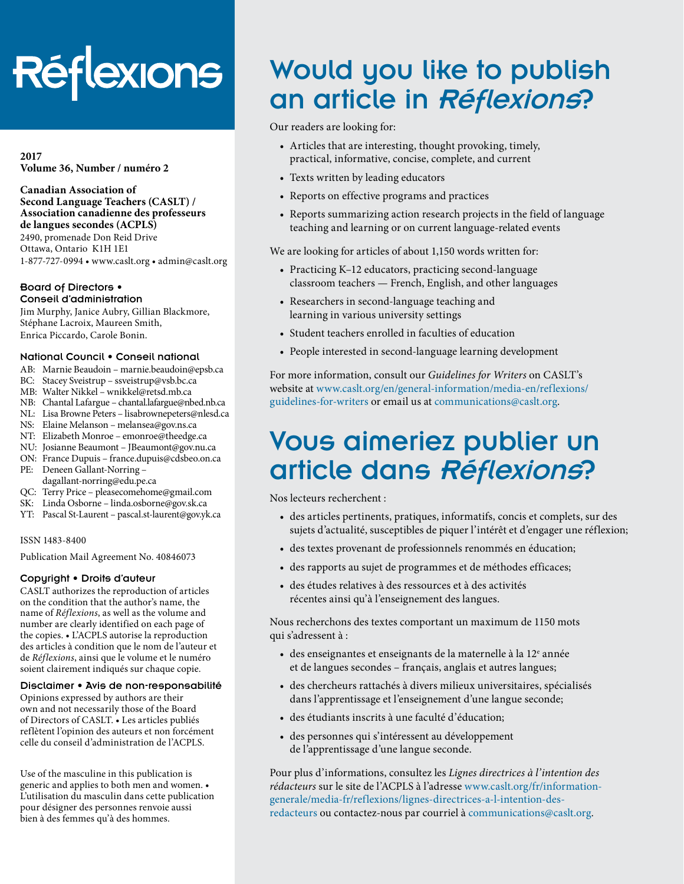# Réflexions

**2017 Volume 36, Number / numéro 2**

**Canadian Association of Second Language Teachers (CASLT) / Association canadienne des professeurs de langues secondes (ACPLS)** 2490, promenade Don Reid Drive

Ottawa, Ontario K1H 1E1 1-877-727-0994 • [www.caslt.org](http://www.caslt.org) • [admin@caslt.org](mailto:admin%40caslt.org?subject=)

#### Board of Directors • Conseil d'administration

Jim Murphy, Janice Aubry, Gillian Blackmore, Stéphane Lacroix, Maureen Smith, Enrica Piccardo, Carole Bonin.

### National Council • Conseil national

- AB: Marnie Beaudoin [marnie.beaudoin@epsb.ca](mailto:marnie.beaudoin%40epsb.ca?subject=)
- BC: Stacey Sveistrup – [ssveistrup@vsb.bc.ca](mailto:ssveistrup%40vsb.bc.ca?subject=)
- MB: Walter Nikkel [wnikkel@retsd.mb.ca](mailto:wnikkel%40retsd.mb.ca?subject=)
- NB: Chantal Lafargue – [chantal.lafargue@nbed.nb.ca](mailto:chantal.lafargue%40nbed.nb.ca?subject=)
- NL: Lisa Browne Peters [lisabrownepeters@](mailto:lisabrownepeters%40cdli.ca?subject=)nlesd.ca
- NS: Elaine Melanson – [melansea@gov.ns.ca](mailto:melansea%40gov.ns.ca?subject=)
- NT: Elizabeth Monroe [emonroe@theedge.ca](mailto:emonroe%40theedge.ca?subject=)
- NU: Josianne Beaumont – [JBeaumont@gov.nu.ca](mailto:JBeaumont%40gov.nu.ca?subject=) ON: France Dupuis – [france.dupuis@cdsbeo.on.ca](mailto:france.dupuis%40cdsbeo.on.ca?subject=)
- PE: Deneen Gallant-Norring –
- [dagallant-norring@edu.pe.ca](mailto:dagallant-norring%40edu.pe.ca?subject=)
- QC: Terry Price – [pleasecomehome@gmail.com](mailto:pleasecomehome%40gmail.com?subject=)
- SK: Linda Osborne – [linda.osborne@gov.sk.ca](mailto:linda.osborne%40gov.sk.ca?subject=)
- YT: Pascal St-Laurent – [pascal.st-laurent@gov.yk.ca](mailto:pascal.st-laurent%40gov.yk.ca?subject=)

### ISSN 1483-8400

Publication Mail Agreement No. 40846073

### Copyright • Droits d'auteur

CASLT authorizes the reproduction of articles on the condition that the author's name, the name of *Réflexions*, as well as the volume and number are clearly identified on each page of the copies. • L'ACPLS autorise la reproduction des articles à condition que le nom de l'auteur et de *Réflexions*, ainsi que le volume et le numéro soient clairement indiqués sur chaque copie.

### Disclaimer • Avis de non-responsabilité

Opinions expressed by authors are their own and not necessarily those of the Board of Directors of CASLT. • Les articles publiés reflètent l'opinion des auteurs et non forcément celle du conseil d'administration de l'ACPLS.

Use of the masculine in this publication is generic and applies to both men and women. • L'utilisation du masculin dans cette publication pour désigner des personnes renvoie aussi bien à des femmes qu'à des hommes.

# Would you like to publish an article in Réflexions?

Our readers are looking for:

- Articles that are interesting, thought provoking, timely, practical, informative, concise, complete, and current
- Texts written by leading educators
- Reports on effective programs and practices
- Reports summarizing action research projects in the field of language teaching and learning or on current language-related events

We are looking for articles of about 1,150 words written for:

- Practicing K–12 educators, practicing second-language classroom teachers — French, English, and other languages
- Researchers in second-language teaching and learning in various university settings
- Student teachers enrolled in faculties of education
- People interested in second-language learning development

For more information, consult our *Guidelines for Writers* on CASLT's website at [www.caslt.org/en/general-information/media-en/reflexions/](https://www.caslt.org/en/general-information/media-en/reflexions/guidelines-for-writers) [guidelines-for-writers](https://www.caslt.org/en/general-information/media-en/reflexions/guidelines-for-writers) or email us at communications[@caslt.org](mailto:communications%40caslt.org?subject=).

# Vous aimeriez publier un article dans Réflexions?

Nos lecteurs recherchent :

- des articles pertinents, pratiques, informatifs, concis et complets, sur des sujets d'actualité, susceptibles de piquer l'intérêt et d'engager une réflexion;
- des textes provenant de professionnels renommés en éducation;
- des rapports au sujet de programmes et de méthodes efficaces;
- des études relatives à des ressources et à des activités récentes ainsi qu'à l'enseignement des langues.

Nous recherchons des textes comportant un maximum de 1150 mots qui s'adressent à :

- des enseignantes et enseignants de la maternelle à la  $12^e$  année et de langues secondes – français, anglais et autres langues;
- des chercheurs rattachés à divers milieux universitaires, spécialisés dans l'apprentissage et l'enseignement d'une langue seconde;
- des étudiants inscrits à une faculté d'éducation;
- des personnes qui s'intéressent au développement de l'apprentissage d'une langue seconde.

Pour plus d'informations, consultez les *Lignes directrices à l'intention des rédacteurs* sur le site de l'ACPLS à l'adresse [www.caslt.org/fr/information](https://www.caslt.org/fr/information-generale/media-fr/reflexions/lignes-directrices-a-l-intention-des-redacteurs)[generale/media-fr/reflexions/lignes-directrices-a-l-intention-des](https://www.caslt.org/fr/information-generale/media-fr/reflexions/lignes-directrices-a-l-intention-des-redacteurs)[redacteurs](https://www.caslt.org/fr/information-generale/media-fr/reflexions/lignes-directrices-a-l-intention-des-redacteurs) ou contactez-nous par courriel à communications[@caslt.org](mailto:communications%40caslt.org?subject=).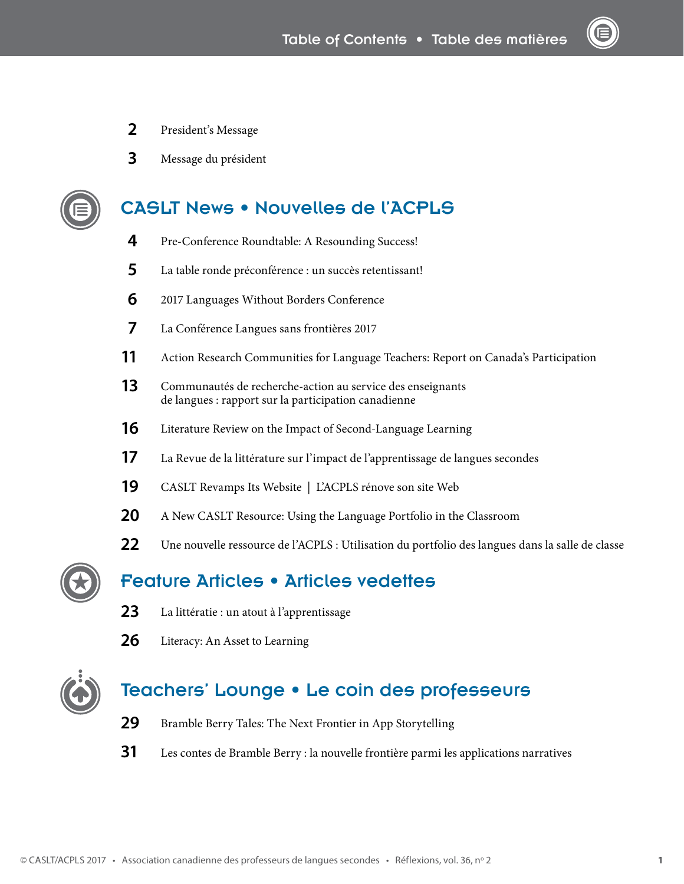- President's Message
- Message du président

## CASLT News • Nouvelles de l'ACPLS

- [Pre-Conference Roundtable: A Resounding Success!](#page--1-1)
- La table ronde préconférence : un succès retentissant!
- [2017 Languages Without Borders Conference](#page--1-0)
- La Conférence Langues sans frontières 2017
- Action Research Communities for Language Teachers: Report on Canada's Participation
- Communautés de recherche-action au service des enseignants de langues : rapport sur la participation canadienne
- [Literature Review on the Impact of Second-Language Learning](#page--1-1)
- La Revue de la littérature sur l'impact de l'apprentissage de langues secondes
- [CASLT Revamps Its Website](#page--1-1) | L'ACPLS rénove son site Web
- [A New CASLT Resource: Using the Language Portfolio in the Classroom](#page--1-1)
- 22 Une nouvelle ressource de l'ACPLS : Utilisation du portfolio des langues dans la salle de classe



### Feature Articles • Articles vedettes

- La littératie : un atout à l'apprentissage
- [Literacy: An Asset to Learning](#page--1-2)



### Teachers' Lounge • Le coin des professeurs

- [Bramble Berry Tales: The Next Frontier in App Storytelling](#page--1-3)
- Les contes de Bramble Berry : la nouvelle frontière parmi les applications narratives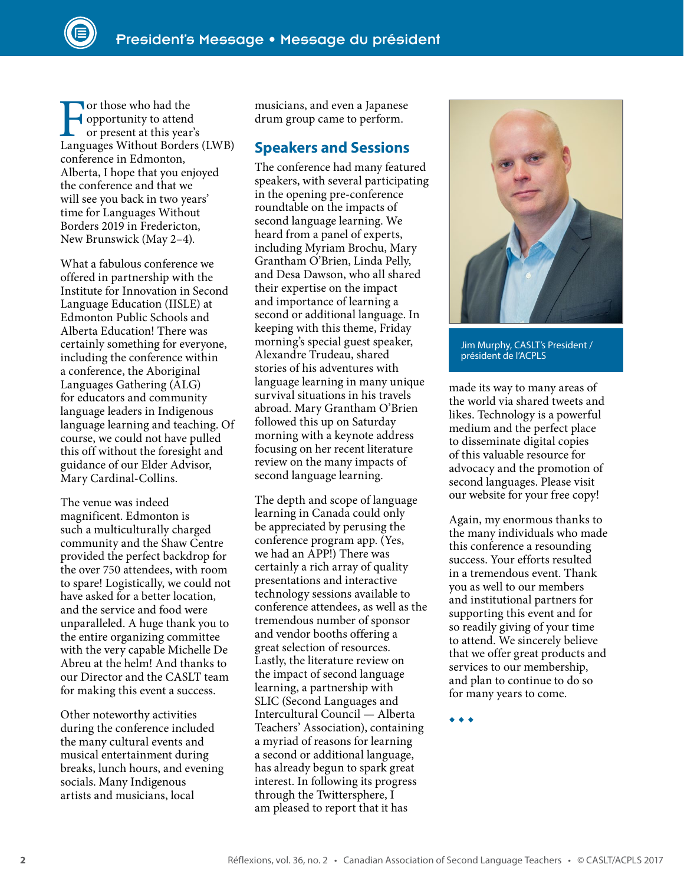The vertex of those who had the<br>
or present at this year's<br>
Languages Without Borders (LWB) opportunity to attend or present at this year's conference in Edmonton, Alberta, I hope that you enjoyed the conference and that we will see you back in two years' time for Languages Without Borders 2019 in Fredericton, New Brunswick (May 2–4).

What a fabulous conference we offered in partnership with the Institute for Innovation in Second Language Education (IISLE) at Edmonton Public Schools and Alberta Education! There was certainly something for everyone, including the conference within a conference, the Aboriginal Languages Gathering (ALG) for educators and community language leaders in Indigenous language learning and teaching. Of course, we could not have pulled this off without the foresight and guidance of our Elder Advisor, Mary Cardinal-Collins.

The venue was indeed magnificent. Edmonton is such a multiculturally charged community and the Shaw Centre provided the perfect backdrop for the over 750 attendees, with room to spare! Logistically, we could not have asked for a better location, and the service and food were unparalleled. A huge thank you to the entire organizing committee with the very capable Michelle De Abreu at the helm! And thanks to our Director and the CASLT team for making this event a success.

Other noteworthy activities during the conference included the many cultural events and musical entertainment during breaks, lunch hours, and evening socials. Many Indigenous artists and musicians, local

musicians, and even a Japanese drum group came to perform.

### **Speakers and Sessions**

The conference had many featured speakers, with several participating in the opening pre-conference roundtable on the impacts of second language learning. We heard from a panel of experts, including Myriam Brochu, Mary Grantham O'Brien, Linda Pelly, and Desa Dawson, who all shared their expertise on the impact and importance of learning a second or additional language. In keeping with this theme, Friday morning's special guest speaker, Alexandre Trudeau, shared stories of his adventures with language learning in many unique survival situations in his travels abroad. Mary Grantham O'Brien followed this up on Saturday morning with a keynote address focusing on her recent literature review on the many impacts of second language learning.

The depth and scope of language learning in Canada could only be appreciated by perusing the conference program app. (Yes, we had an APP!) There was certainly a rich array of quality presentations and interactive technology sessions available to conference attendees, as well as the tremendous number of sponsor and vendor booths offering a great selection of resources. Lastly, the literature review on the impact of second language learning, a partnership with SLIC (Second Languages and Intercultural Council — Alberta Teachers' Association), containing a myriad of reasons for learning a second or additional language, has already begun to spark great interest. In following its progress through the Twittersphere, I am pleased to report that it has



Jim Murphy, CASLT's President / président de l'ACPLS

made its way to many areas of the world via shared tweets and likes. Technology is a powerful medium and the perfect place to disseminate digital copies of this valuable resource for advocacy and the promotion of second languages. Please visit our website for your free copy!

Again, my enormous thanks to the many individuals who made this conference a resounding success. Your efforts resulted in a tremendous event. Thank you as well to our members and institutional partners for supporting this event and for so readily giving of your time to attend. We sincerely believe that we offer great products and services to our membership, and plan to continue to do so for many years to come.

◆ ◆ ◆